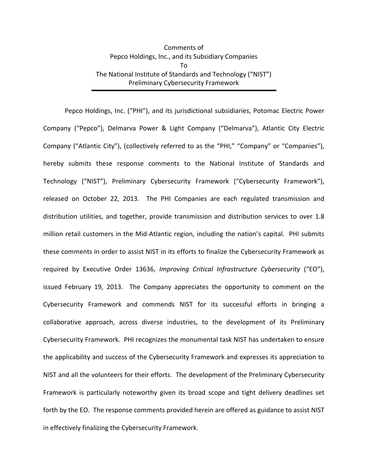## Comments of Pepco Holdings, Inc., and its Subsidiary Companies To The National Institute of Standards and Technology ("NIST") Preliminary Cybersecurity Framework

Pepco Holdings, Inc. ("PHI"), and its jurisdictional subsidiaries, Potomac Electric Power Company ("Pepco"), Delmarva Power & Light Company ("Delmarva"), Atlantic City Electric Company ("Atlantic City"), (collectively referred to as the "PHI," "Company" or "Companies"), hereby submits these response comments to the National Institute of Standards and Technology ("NIST"), Preliminary Cybersecurity Framework ("Cybersecurity Framework"), released on October 22, 2013. The PHI Companies are each regulated transmission and distribution utilities, and together, provide transmission and distribution services to over 1.8 million retail customers in the Mid-Atlantic region, including the nation's capital. PHI submits these comments in order to assist NIST in its efforts to finalize the Cybersecurity Framework as required by Executive Order 13636, *Improving Critical Infrastructure Cybersecurity* ("EO"), issued February 19, 2013. The Company appreciates the opportunity to comment on the Cybersecurity Framework and commends NIST for its successful efforts in bringing a collaborative approach, across diverse industries, to the development of its Preliminary Cybersecurity Framework. PHI recognizes the monumental task NIST has undertaken to ensure the applicability and success of the Cybersecurity Framework and expresses its appreciation to NIST and all the volunteers for their efforts. The development of the Preliminary Cybersecurity Framework is particularly noteworthy given its broad scope and tight delivery deadlines set forth by the EO. The response comments provided herein are offered as guidance to assist NIST in effectively finalizing the Cybersecurity Framework.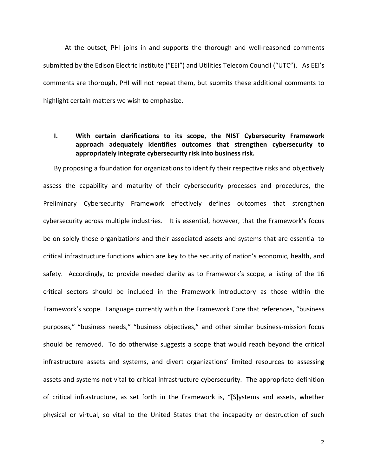At the outset, PHI joins in and supports the thorough and well-reasoned comments submitted by the Edison Electric Institute ("EEI") and Utilities Telecom Council ("UTC"). As EEI's comments are thorough, PHI will not repeat them, but submits these additional comments to highlight certain matters we wish to emphasize.

## **I. With certain clarifications to its scope, the NIST Cybersecurity Framework approach adequately identifies outcomes that strengthen cybersecurity to appropriately integrate cybersecurity risk into business risk.**

By proposing a foundation for organizations to identify their respective risks and objectively assess the capability and maturity of their cybersecurity processes and procedures, the Preliminary Cybersecurity Framework effectively defines outcomes that strengthen cybersecurity across multiple industries. It is essential, however, that the Framework's focus be on solely those organizations and their associated assets and systems that are essential to critical infrastructure functions which are key to the security of nation's economic, health, and safety. Accordingly, to provide needed clarity as to Framework's scope, a listing of the 16 critical sectors should be included in the Framework introductory as those within the Framework's scope. Language currently within the Framework Core that references, "business" purposes," "business needs," "business objectives," and other similar business-mission focus should be removed. To do otherwise suggests a scope that would reach beyond the critical infrastructure assets and systems, and divert organizations' limited resources to assessing assets and systems not vital to critical infrastructure cybersecurity. The appropriate definition of critical infrastructure, as set forth in the Framework is, "[S]ystems and assets, whether physical or virtual, so vital to the United States that the incapacity or destruction of such

2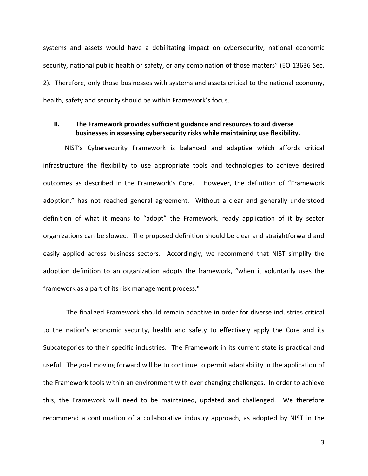systems and assets would have a debilitating impact on cybersecurity, national economic security, national public health or safety, or any combination of those matters" (EO 13636 Sec. 2). Therefore, only those businesses with systems and assets critical to the national economy, health, safety and security should be within Framework's focus.

## **II. The Framework provides sufficient guidance and resources to aid diverse businesses in assessing cybersecurity risks while maintaining use flexibility.**

NIST's Cybersecurity Framework is balanced and adaptive which affords critical infrastructure the flexibility to use appropriate tools and technologies to achieve desired outcomes as described in the Framework's Core. However, the definition of "Framework adoption," has not reached general agreement. Without a clear and generally understood definition of what it means to "adopt" the Framework, ready application of it by sector organizations can be slowed. The proposed definition should be clear and straightforward and easily applied across business sectors. Accordingly, we recommend that NIST simplify the adoption definition to an organization adopts the framework, "when it voluntarily uses the framework as a part of its risk management process."

The finalized Framework should remain adaptive in order for diverse industries critical to the nation's economic security, health and safety to effectively apply the Core and its Subcategories to their specific industries. The Framework in its current state is practical and useful. The goal moving forward will be to continue to permit adaptability in the application of the Framework tools within an environment with ever changing challenges. In order to achieve this, the Framework will need to be maintained, updated and challenged. We therefore recommend a continuation of a collaborative industry approach, as adopted by NIST in the

3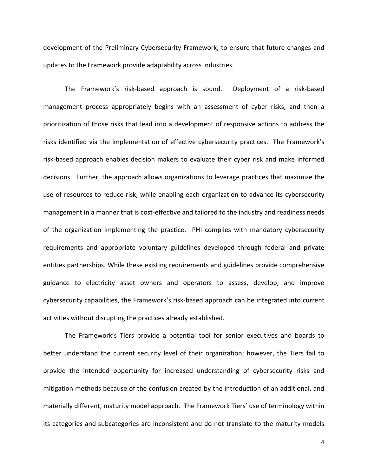development of the Preliminary Cybersecurity Framework, to ensure that future changes and updates to the Framework provide adaptability across industries.

The Framework's risk-based approach is sound. Deployment of a risk-based management process appropriately begins with an assessment of cyber risks, and then a prioritization of those risks that lead into a development of responsive actions to address the risks identified via the implementation of effective cybersecurity practices. The Framework's risk-based approach enables decision makers to evaluate their cyber risk and make informed decisions. Further, the approach allows organizations to leverage practices that maximize the use of resources to reduce risk, while enabling each organization to advance its cybersecurity management in a manner that is cost-effective and tailored to the industry and readiness needs of the organization implementing the practice. PHI complies with mandatory cybersecurity requirements and appropriate voluntary guidelines developed through federal and private entities partnerships. While these existing requirements and guidelines provide comprehensive guidance to electricity asset owners and operators to assess, develop, and improve cybersecurity capabilities, the Framework's risk-based approach can be integrated into current activities without disrupting the practices already established.

The Framework's Tiers provide a potential tool for senior executives and boards to better understand the current security level of their organization; however, the Tiers fail to provide the intended opportunity for increased understanding of cybersecurity risks and mitigation methods because of the confusion created by the introduction of an additional, and materially different, maturity model approach. The Framework Tiers' use of terminology within its categories and subcategories are inconsistent and do not translate to the maturity models

4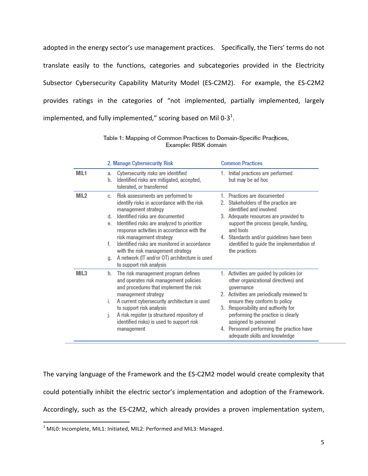adopted in the energy sector's use management practices. Specifically, the Tiers' terms do not translate easily to the functions, categories and subcategories provided in the Electricity Subsector Cybersecurity Capability Maturity Model (ES-C2M2). For example, the ES-C2M2 provides ratings in the categories of "not implemented, partially implemented, largely implemented, and fully implemented," scoring based on Mil 0-3<sup>1</sup>.

|      | 2. Manage Cybersecurity Risk |                                                                                                                              |    | <b>Common Practices</b>                                                                                |  |
|------|------------------------------|------------------------------------------------------------------------------------------------------------------------------|----|--------------------------------------------------------------------------------------------------------|--|
| MIL1 | a.<br>b.                     | Cybersecurity risks are identified<br>Identified risks are mitigated, accepted,<br>tolerated, or transferred                 | 1. | Initial practices are performed<br>but may be ad hoc                                                   |  |
| MIL2 | C.                           | Risk assessments are performed to<br>identify risks in accordance with the risk<br>management strategy                       |    | 1. Practices are documented<br>2. Stakeholders of the practice are<br>identified and involved          |  |
|      | d.<br>е.                     | Identified risks are documented<br>Identified risks are analyzed to prioritize<br>response activities in accordance with the |    | 3. Adequate resources are provided to<br>support the process (people, funding,<br>and tools            |  |
|      | f.                           | risk management strategy<br>Identified risks are monitored in accordance<br>with the risk management strategy                |    | 4. Standards and/or guidelines have been<br>identified to guide the implementation of<br>the practices |  |
|      | g.                           | A network (IT and/or OT) architecture is used<br>to support risk analysis                                                    |    |                                                                                                        |  |
| MIL3 | h.                           | The risk management program defines<br>and operates risk management policies<br>and procedures that implement the risk       |    | 1. Activities are guided by policies (or<br>other organizational directives) and<br>governance         |  |
|      | i.                           | management strategy<br>A current cybersecurity architecture is used                                                          |    | 2. Activities are periodically reviewed to<br>ensure they conform to policy                            |  |
|      |                              | to support risk analysis                                                                                                     |    | 3. Responsibility and authority for                                                                    |  |
|      | j.                           | A risk register (a structured repository of<br>identified risks) is used to support risk                                     |    | performing the practice is clearly<br>assigned to personnel                                            |  |
|      |                              | management                                                                                                                   |    | 4. Personnel performing the practice have<br>adequate skills and knowledge                             |  |

Table 1: Mapping of Common Practices to Domain-Specific Practices, Example: RISK domain

The varying language of the Framework and the ES-C2M2 model would create complexity that could potentially inhibit the electric sector's implementation and adoption of the Framework. Accordingly, such as the ES-C2M2, which already provides a proven implementation system,

<sup>&</sup>lt;sup>1</sup> MIL0: Incomplete, MIL1: Initiated, MIL2: Performed and MIL3: Managed.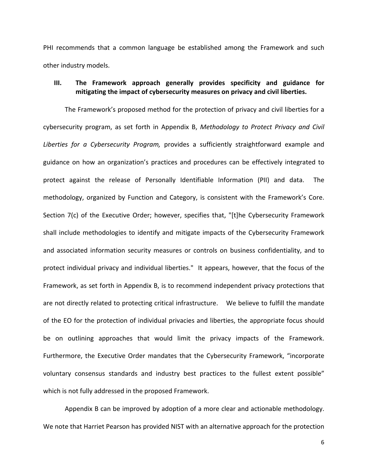PHI recommends that a common language be established among the Framework and such other industry models. 

## **III. The Framework approach generally provides specificity and guidance for** mitigating the impact of cybersecurity measures on privacy and civil liberties.

The Framework's proposed method for the protection of privacy and civil liberties for a cybersecurity program, as set forth in Appendix B, *Methodology to Protect Privacy and Civil Liberties for a Cybersecurity Program,* provides a sufficiently straightforward example and guidance on how an organization's practices and procedures can be effectively integrated to protect against the release of Personally Identifiable Information (PII) and data. The methodology, organized by Function and Category, is consistent with the Framework's Core. Section 7(c) of the Executive Order; however, specifies that, "[t]he Cybersecurity Framework shall include methodologies to identify and mitigate impacts of the Cybersecurity Framework and associated information security measures or controls on business confidentiality, and to protect individual privacy and individual liberties." It appears, however, that the focus of the Framework, as set forth in Appendix B, is to recommend independent privacy protections that are not directly related to protecting critical infrastructure. We believe to fulfill the mandate of the EO for the protection of individual privacies and liberties, the appropriate focus should be on outlining approaches that would limit the privacy impacts of the Framework. Furthermore, the Executive Order mandates that the Cybersecurity Framework, "incorporate voluntary consensus standards and industry best practices to the fullest extent possible" which is not fully addressed in the proposed Framework.

Appendix B can be improved by adoption of a more clear and actionable methodology. We note that Harriet Pearson has provided NIST with an alternative approach for the protection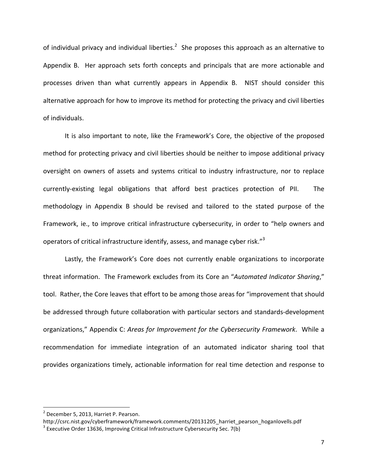of individual privacy and individual liberties.<sup>2</sup> She proposes this approach as an alternative to Appendix B. Her approach sets forth concepts and principals that are more actionable and processes driven than what currently appears in Appendix B. NIST should consider this alternative approach for how to improve its method for protecting the privacy and civil liberties of individuals.

It is also important to note, like the Framework's Core, the objective of the proposed method for protecting privacy and civil liberties should be neither to impose additional privacy oversight on owners of assets and systems critical to industry infrastructure, nor to replace currently-existing legal obligations that afford best practices protection of PII. The methodology in Appendix B should be revised and tailored to the stated purpose of the Framework, ie., to improve critical infrastructure cybersecurity, in order to "help owners and operators of critical infrastructure identify, assess, and manage cyber risk."<sup>3</sup>

Lastly, the Framework's Core does not currently enable organizations to incorporate threat information. The Framework excludes from its Core an "Automated Indicator Sharing," tool. Rather, the Core leaves that effort to be among those areas for "improvement that should be addressed through future collaboration with particular sectors and standards-development organizations," Appendix C: Areas for Improvement for the Cybersecurity Framework. While a recommendation for immediate integration of an automated indicator sharing tool that provides organizations timely, actionable information for real time detection and response to

 $<sup>2</sup>$  December 5, 2013, Harriet P. Pearson.</sup>

http://csrc.nist.gov/cyberframework/framework.comments/20131205\_harriet\_pearson\_hoganlovells.pdf

 $3$  Executive Order 13636, Improving Critical Infrastructure Cybersecurity Sec. 7(b)